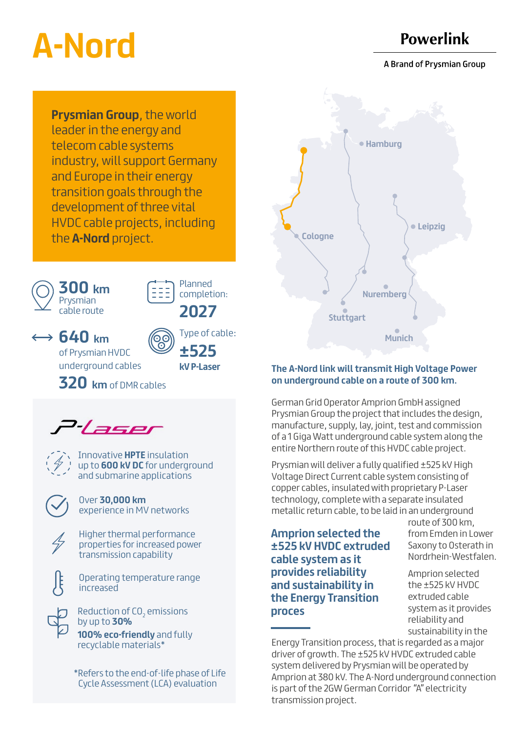# **A-Nord**

## **Powerlink**

A Brand of Prysmian Group

**Prysmian Group**, the world leader in the energy and telecom cable systems industry, will support Germany and Europe in their energy transition goals through the development of three vital HVDC cable projects, including the **A-Nord** project.





Planned completion:

Type of cable:

**2027** 

← **640 km** of Prysmian HVDC

underground cables **±525 kV P-Laser**

**320 km** of DMR cables





Innovative **HPTE** insulation up to **600 kV DC** for underground and submarine applications

Over **30,000 km** experience in MV networks



Higher thermal performance properties for increased power transmission capability



Operating temperature range increased

**100% eco-friendly** and fully recyclable materials\* Reduction of CO<sub>2</sub> emissions by up to **30%** 

\*Refers to the end-of-life phase of Life Cycle Assessment (LCA) evaluation



## **The A-Nord link will transmit High Voltage Power on underground cable on a route of 300 km.**

German Grid Operator Amprion GmbH assigned Prysmian Group the project that includes the design, manufacture, supply, lay, joint, test and commission of a 1 Giga Watt underground cable system along the entire Northern route of this HVDC cable project.

Prysmian will deliver a fully qualified ±525 kV High Voltage Direct Current cable system consisting of copper cables, insulated with proprietary P-Laser technology, complete with a separate insulated metallic return cable, to be laid in an underground

**Amprion selected the ±525 kV HVDC extruded cable system as it provides reliability and sustainability in the Energy Transition proces**

route of 300 km, from Emden in Lower Saxony to Osterath in Nordrhein-Westfalen.

Amprion selected the ±525 kV HVDC extruded cable system as it provides reliability and sustainability in the

Energy Transition process, that is regarded as a major driver of growth. The ±525 kV HVDC extruded cable system delivered by Prysmian will be operated by Amprion at 380 kV. The A-Nord underground connection is part of the 2GW German Corridor "A" electricity transmission project.